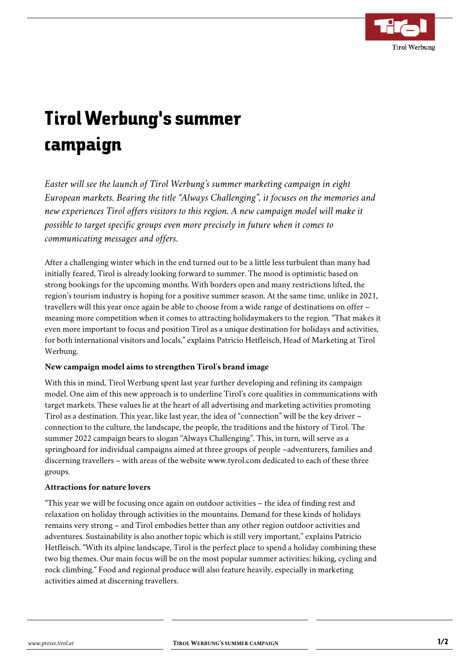

## Tirol Werbung's summer campaign

*Easter will see the launch of Tirol Werbung's summer marketing campaign in eight European markets. Bearing the title "Always Challenging", it focuses on the memories and new experiences Tirol offers visitors to this region. A new campaign model will make it possible to target specific groups even more precisely in future when it comes to communicating messages and offers.*

After a challenging winter which in the end turned out to be a little less turbulent than many had initially feared, Tirol is already looking forward to summer. The mood is optimistic based on strong bookings for the upcoming months. With borders open and many restrictions lifted, the region's tourism industry is hoping for a positive summer season. At the same time, unlike in 2021, travellers will this year once again be able to choose from a wide range of destinations on offer – meaning more competition when it comes to attracting holidaymakers to the region. "That makes it even more important to focus and position Tirol as a unique destination for holidays and activities, for both international visitors and locals," explains Patricio Hetfleisch, Head of Marketing at Tirol Werbung.

## **New campaign model aims to strengthen Tirol's brand image**

With this in mind, Tirol Werbung spent last year further developing and refining its campaign model. One aim of this new approach is to underline Tirol's core qualities in communications with target markets. These values lie at the heart of all advertising and marketing activities promoting Tirol as a destination. This year, like last year, the idea of "connection" will be the key driver – connection to the culture, the landscape, the people, the traditions and the history of Tirol. The summer 2022 campaign bears to slogan "Always Challenging". This, in turn, will serve as a springboard for individual campaigns aimed at three groups of people –adventurers, families and discerning travellers – with areas of the website www.tyrol.com dedicated to each of these three groups.

## **Attractions for nature lovers**

"This year we will be focusing once again on outdoor activities – the idea of finding rest and relaxation on holiday through activities in the mountains. Demand for these kinds of holidays remains very strong – and Tirol embodies better than any other region outdoor activities and adventures. Sustainability is also another topic which is still very important," explains Patricio Hetfleisch. "With its alpine landscape, Tirol is the perfect place to spend a holiday combining these two big themes. Our main focus will be on the most popular summer activities: hiking, cycling and rock climbing." Food and regional produce will also feature heavily, especially in marketing activities aimed at discerning travellers.